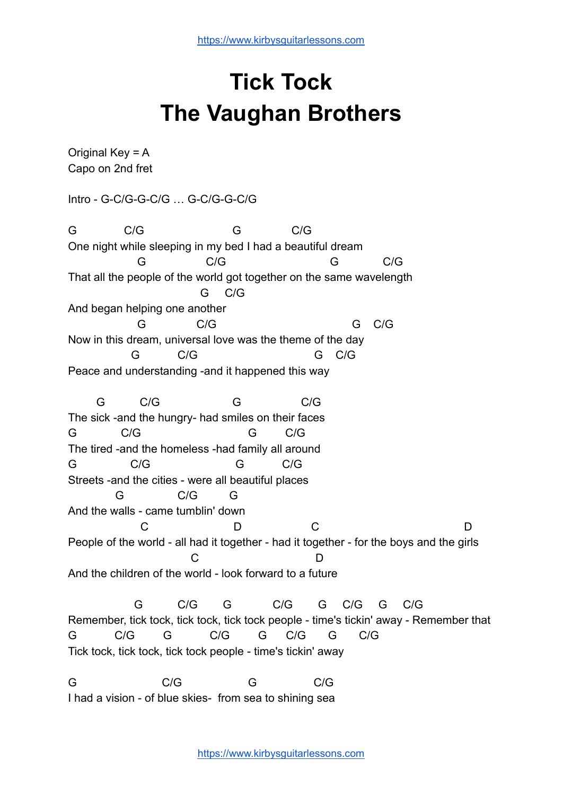## **Tick Tock The Vaughan Brothers**

Original Key  $= A$ Capo on 2nd fret Intro - G-C/G-G-C/G … G-C/G-G-C/G G C/G G C/G One night while sleeping in my bed I had a beautiful dream G C/G G C/G That all the people of the world got together on the same wavelength G C/G And began helping one another G C/G G C/G Now in this dream, universal love was the theme of the day G C/G G C/G Peace and understanding -and it happened this way G C/G G C/G The sick -and the hungry- had smiles on their faces G C/G G C/G The tired -and the homeless -had family all around G C/G G C/G Streets -and the cities - were all beautiful places G C/G G And the walls - came tumblin' down C D C D D People of the world - all had it together - had it together - for the boys and the girls C D And the children of the world - look forward to a future G C/G G C/G G C/G G C/G Remember, tick tock, tick tock, tick tock people - time's tickin' away - Remember that G C/G G C/G G C/G G C/G Tick tock, tick tock, tick tock people - time's tickin' away G C/G G C/G

I had a vision - of blue skies- from sea to shining sea